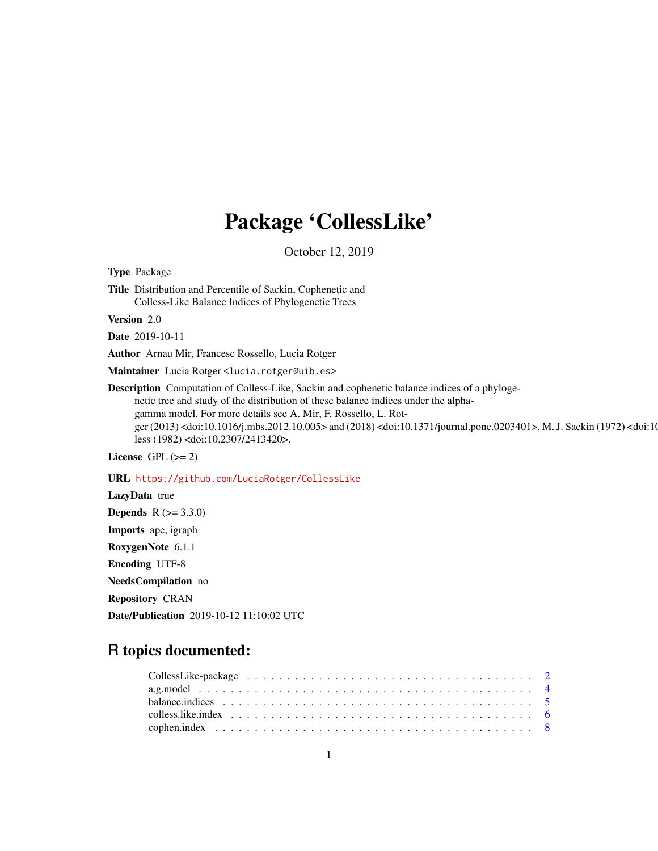# Package 'CollessLike'

October 12, 2019

<span id="page-0-0"></span>Type Package Title Distribution and Percentile of Sackin, Cophenetic and Colless-Like Balance Indices of Phylogenetic Trees

Version 2.0

Date 2019-10-11

Author Arnau Mir, Francesc Rossello, Lucia Rotger

Maintainer Lucia Rotger <lucia.rotger@uib.es>

Description Computation of Colless-Like, Sackin and cophenetic balance indices of a phylogenetic tree and study of the distribution of these balance indices under the alphagamma model. For more details see A. Mir, F. Rossello, L. Rotger (2013) <doi:10.1016/j.mbs.2012.10.005> and (2018) <doi:10.1371/journal.pone.0203401>, M. J. Sackin (1972) <doi:10.1371/journal.pone.0203401>, M. J. Sackin (1972) <doi:10.1371/journal.pone.0203401>, M. J. Sackin (1972) less (1982) <doi:10.2307/2413420>.

License GPL  $(>= 2)$ 

URL <https://github.com/LuciaRotger/CollessLike>

LazyData true **Depends**  $R (= 3.3.0)$ Imports ape, igraph RoxygenNote 6.1.1 Encoding UTF-8 NeedsCompilation no Repository CRAN Date/Publication 2019-10-12 11:10:02 UTC

# R topics documented: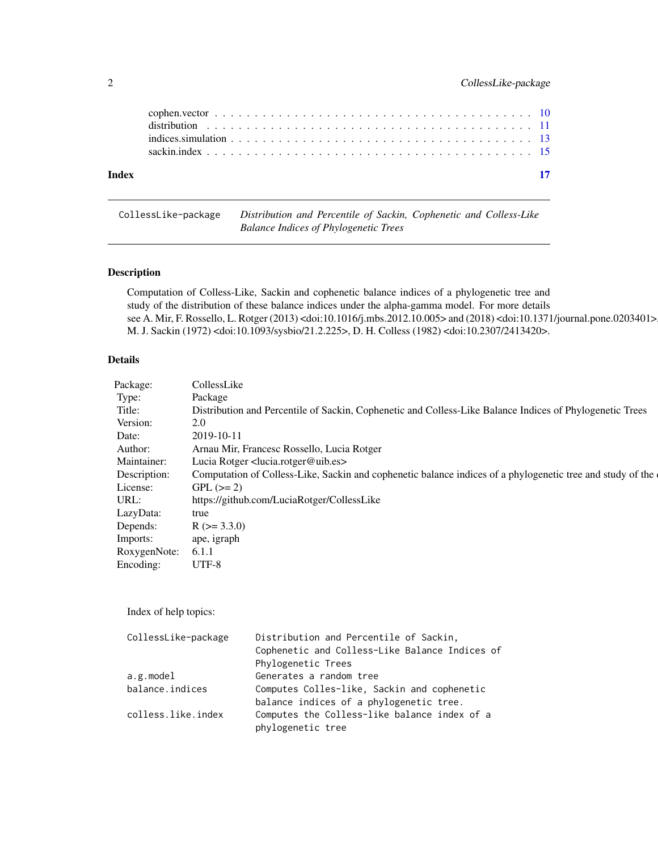<span id="page-1-0"></span>

| Index |                                                                                                                 | $\overline{17}$ |
|-------|-----------------------------------------------------------------------------------------------------------------|-----------------|
|       |                                                                                                                 |                 |
|       | indices simulation $\ldots \ldots \ldots \ldots \ldots \ldots \ldots \ldots \ldots \ldots \ldots \ldots \ldots$ |                 |
|       |                                                                                                                 |                 |
|       |                                                                                                                 |                 |

CollessLike-package *Distribution and Percentile of Sackin, Cophenetic and Colless-Like Balance Indices of Phylogenetic Trees*

# Description

Computation of Colless-Like, Sackin and cophenetic balance indices of a phylogenetic tree and study of the distribution of these balance indices under the alpha-gamma model. For more details see A. Mir, F. Rossello, L. Rotger (2013) <doi:10.1016/j.mbs.2012.10.005> and (2018) <doi:10.1371/journal.pone.0203401> M. J. Sackin (1972) <doi:10.1093/sysbio/21.2.225>, D. H. Colless (1982) <doi:10.2307/2413420>.

# Details

| Package:           | CollessLike                                                                                                |
|--------------------|------------------------------------------------------------------------------------------------------------|
| Type:              | Package                                                                                                    |
| Title:             | Distribution and Percentile of Sackin, Cophenetic and Colless-Like Balance Indices of Phylogenetic Trees   |
| Version:           | 2.0                                                                                                        |
| Date:              | 2019-10-11                                                                                                 |
| Author:            | Arnau Mir, Francesc Rossello, Lucia Rotger                                                                 |
| Maintainer:        | Lucia Rotger <lucia.rotger@uib.es></lucia.rotger@uib.es>                                                   |
| Description:       | Computation of Colless-Like, Sackin and cophenetic balance indices of a phylogenetic tree and study of the |
| License:           | $GPL (=2)$                                                                                                 |
| URL:               | https://github.com/LuciaRotger/CollessLike                                                                 |
| LazyData:          | true                                                                                                       |
| Depends:           | $R$ ( $>=$ 3.3.0)                                                                                          |
| Imports:           | ape, igraph                                                                                                |
| RoxygenNote: 6.1.1 |                                                                                                            |
| Encoding:          | UTF-8                                                                                                      |
|                    |                                                                                                            |

Index of help topics:

| CollessLike-package | Distribution and Percentile of Sackin,         |
|---------------------|------------------------------------------------|
|                     | Cophenetic and Colless-Like Balance Indices of |
|                     | Phylogenetic Trees                             |
| a.g.model           | Generates a random tree                        |
| balance.indices     | Computes Colles-like, Sackin and cophenetic    |
|                     | balance indices of a phylogenetic tree.        |
| colless.like.index  | Computes the Colless-like balance index of a   |
|                     | phylogenetic tree                              |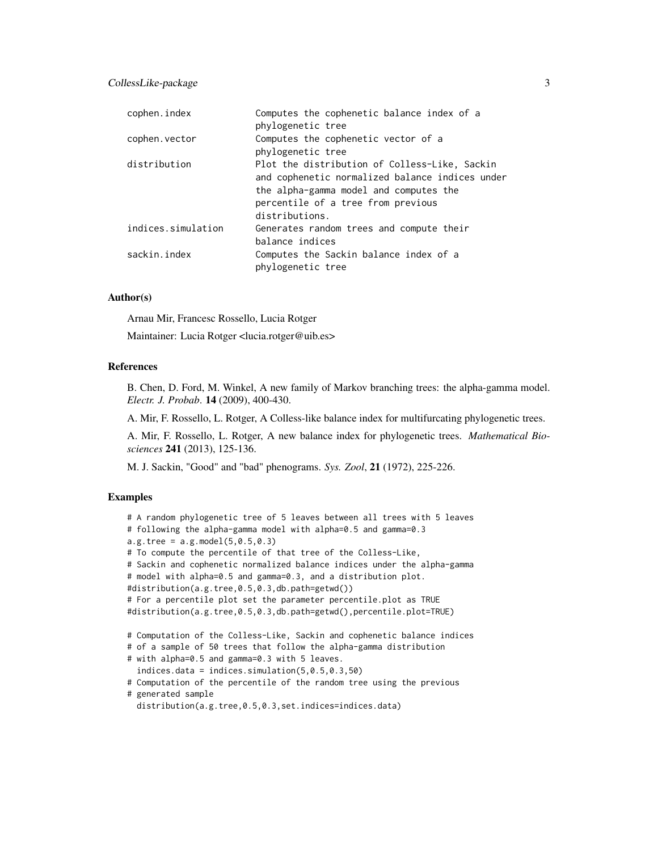| cophen.index       | Computes the cophenetic balance index of a<br>phylogenetic tree                                                                                                                                    |
|--------------------|----------------------------------------------------------------------------------------------------------------------------------------------------------------------------------------------------|
| cophen.vector      | Computes the cophenetic vector of a                                                                                                                                                                |
|                    | phylogenetic tree                                                                                                                                                                                  |
| distribution       | Plot the distribution of Colless-Like, Sackin<br>and cophenetic normalized balance indices under<br>the alpha-gamma model and computes the<br>percentile of a tree from previous<br>distributions. |
| indices.simulation | Generates random trees and compute their<br>balance indices                                                                                                                                        |
| sackin.index       | Computes the Sackin balance index of a<br>phylogenetic tree                                                                                                                                        |

## Author(s)

Arnau Mir, Francesc Rossello, Lucia Rotger

Maintainer: Lucia Rotger <lucia.rotger@uib.es>

# References

B. Chen, D. Ford, M. Winkel, A new family of Markov branching trees: the alpha-gamma model. *Electr. J. Probab*. 14 (2009), 400-430.

A. Mir, F. Rossello, L. Rotger, A Colless-like balance index for multifurcating phylogenetic trees.

A. Mir, F. Rossello, L. Rotger, A new balance index for phylogenetic trees. *Mathematical Biosciences* 241 (2013), 125-136.

M. J. Sackin, "Good" and "bad" phenograms. *Sys. Zool*, 21 (1972), 225-226.

```
# A random phylogenetic tree of 5 leaves between all trees with 5 leaves
# following the alpha-gamma model with alpha=0.5 and gamma=0.3
a.g.tree = a.g. model(5, 0.5, 0.3)# To compute the percentile of that tree of the Colless-Like,
# Sackin and cophenetic normalized balance indices under the alpha-gamma
# model with alpha=0.5 and gamma=0.3, and a distribution plot.
#distribution(a.g.tree,0.5,0.3,db.path=getwd())
# For a percentile plot set the parameter percentile.plot as TRUE
#distribution(a.g.tree,0.5,0.3,db.path=getwd(),percentile.plot=TRUE)
# Computation of the Colless-Like, Sackin and cophenetic balance indices
# of a sample of 50 trees that follow the alpha-gamma distribution
# with alpha=0.5 and gamma=0.3 with 5 leaves.
  indices.data = indices.simulation(5,0.5,0.3,50)
# Computation of the percentile of the random tree using the previous
# generated sample
  distribution(a.g.tree,0.5,0.3,set.indices=indices.data)
```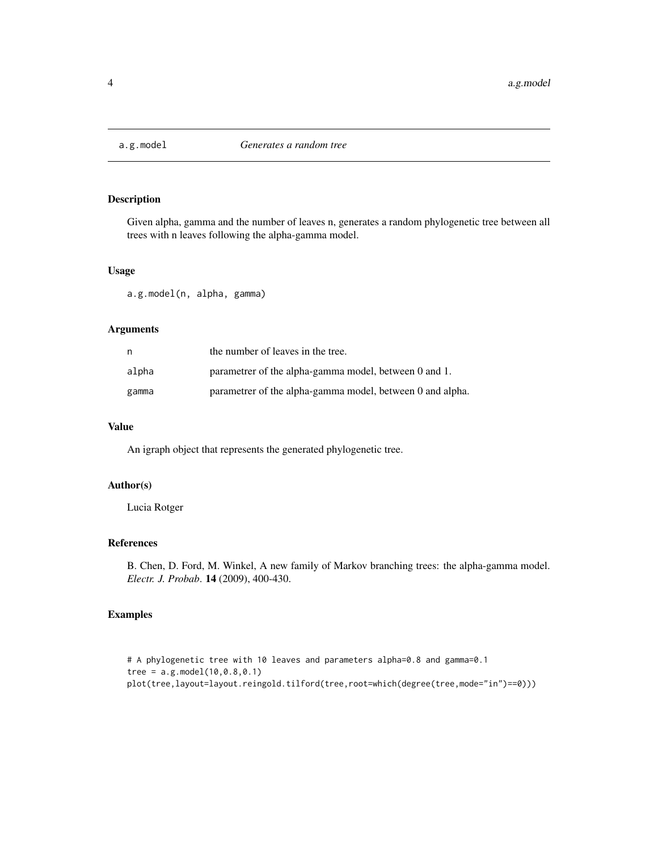<span id="page-3-0"></span>

# Description

Given alpha, gamma and the number of leaves n, generates a random phylogenetic tree between all trees with n leaves following the alpha-gamma model.

# Usage

a.g.model(n, alpha, gamma)

# Arguments

| n     | the number of leaves in the tree.                         |
|-------|-----------------------------------------------------------|
| alpha | parametrer of the alpha-gamma model, between 0 and 1.     |
| gamma | parametrer of the alpha-gamma model, between 0 and alpha. |

# Value

An igraph object that represents the generated phylogenetic tree.

# Author(s)

Lucia Rotger

# References

B. Chen, D. Ford, M. Winkel, A new family of Markov branching trees: the alpha-gamma model. *Electr. J. Probab*. 14 (2009), 400-430.

```
# A phylogenetic tree with 10 leaves and parameters alpha=0.8 and gamma=0.1
tree = a.g. model(10, 0.8, 0.1)plot(tree,layout=layout.reingold.tilford(tree,root=which(degree(tree,mode="in")==0)))
```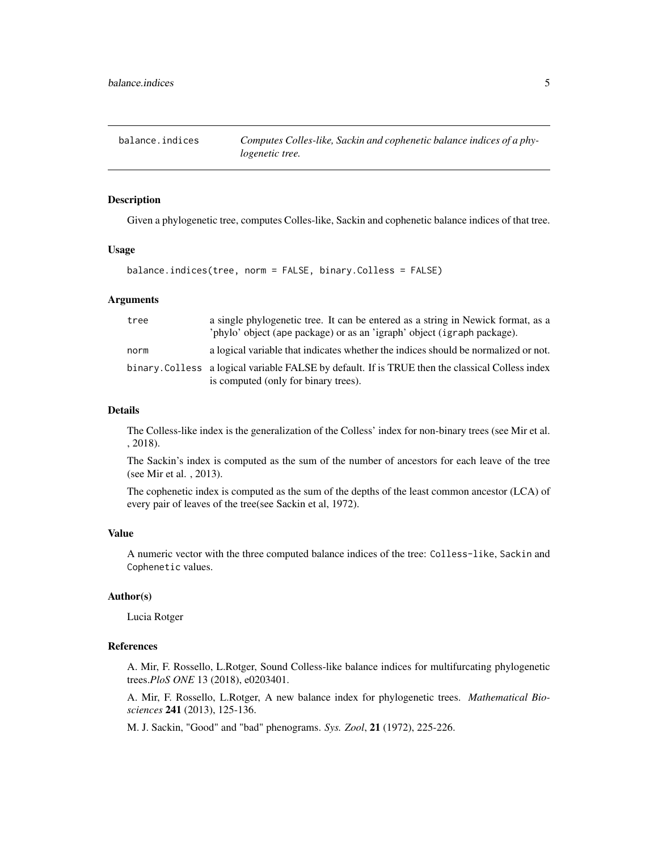<span id="page-4-1"></span><span id="page-4-0"></span>

# Description

Given a phylogenetic tree, computes Colles-like, Sackin and cophenetic balance indices of that tree.

### Usage

balance.indices(tree, norm = FALSE, binary.Colless = FALSE)

# Arguments

| tree | a single phylogenetic tree. It can be entered as a string in Newick format, as a<br>'phylo' object (ape package) or as an 'igraph' object (igraph package). |
|------|-------------------------------------------------------------------------------------------------------------------------------------------------------------|
| norm | a logical variable that indicates whether the indices should be normalized or not.                                                                          |
|      | binary. Colless a logical variable FALSE by default. If is TRUE then the classical Colless index<br>is computed (only for binary trees).                    |

# Details

The Colless-like index is the generalization of the Colless' index for non-binary trees (see Mir et al. , 2018).

The Sackin's index is computed as the sum of the number of ancestors for each leave of the tree (see Mir et al. , 2013).

The cophenetic index is computed as the sum of the depths of the least common ancestor (LCA) of every pair of leaves of the tree(see Sackin et al, 1972).

# Value

A numeric vector with the three computed balance indices of the tree: Colless-like, Sackin and Cophenetic values.

# Author(s)

Lucia Rotger

# References

A. Mir, F. Rossello, L.Rotger, Sound Colless-like balance indices for multifurcating phylogenetic trees.*PloS ONE* 13 (2018), e0203401.

A. Mir, F. Rossello, L.Rotger, A new balance index for phylogenetic trees. *Mathematical Biosciences* 241 (2013), 125-136.

M. J. Sackin, "Good" and "bad" phenograms. *Sys. Zool*, 21 (1972), 225-226.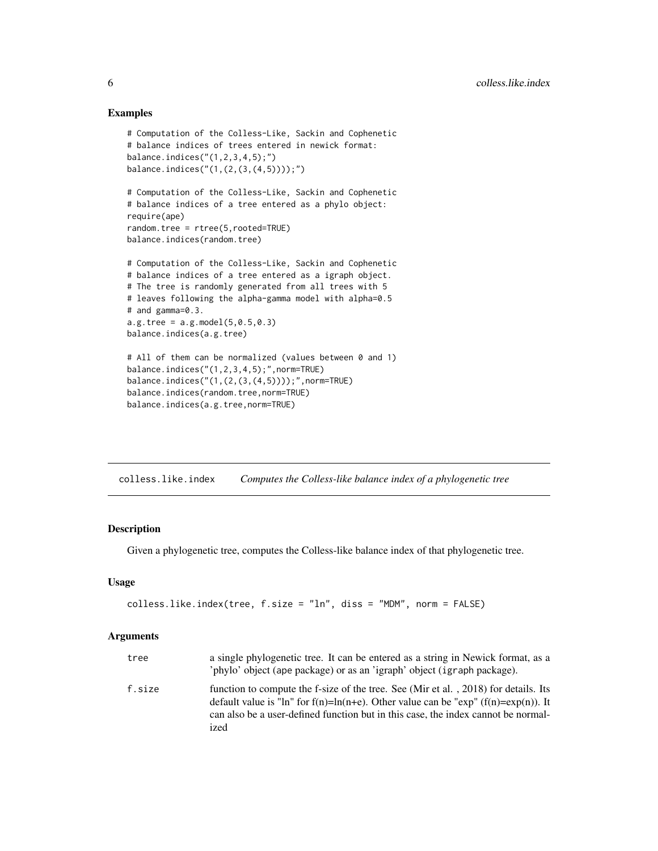# Examples

```
# Computation of the Colless-Like, Sackin and Cophenetic
# balance indices of trees entered in newick format:
balance.indices("(1,2,3,4,5);")
balance.indices("(1,(2,(3,(4,5))));")
# Computation of the Colless-Like, Sackin and Cophenetic
# balance indices of a tree entered as a phylo object:
require(ape)
random.tree = rtree(5,rooted=TRUE)
balance.indices(random.tree)
# Computation of the Colless-Like, Sackin and Cophenetic
# balance indices of a tree entered as a igraph object.
# The tree is randomly generated from all trees with 5
# leaves following the alpha-gamma model with alpha=0.5
# and gamma=0.3.
a.g.tree = a.g. model(5, 0.5, 0.3)balance.indices(a.g.tree)
# All of them can be normalized (values between 0 and 1)
balance.indices("(1,2,3,4,5);",norm=TRUE)
balance.indices("(1,(2,(3,(4,5))));",norm=TRUE)
balance.indices(random.tree,norm=TRUE)
balance.indices(a.g.tree,norm=TRUE)
```
colless.like.index *Computes the Colless-like balance index of a phylogenetic tree*

# Description

Given a phylogenetic tree, computes the Colless-like balance index of that phylogenetic tree.

### Usage

```
colless.like.index(tree, f.size = "ln", diss = "MDM", norm = FALSE)
```

| tree   | a single phylogenetic tree. It can be entered as a string in Newick format, as a<br>'phylo' object (ape package) or as an 'igraph' object (igraph package).                                                                                                                  |
|--------|------------------------------------------------------------------------------------------------------------------------------------------------------------------------------------------------------------------------------------------------------------------------------|
| f.size | function to compute the f-size of the tree. See (Mir et al., 2018) for details. Its<br>default value is "ln" for $f(n)=ln(n+e)$ . Other value can be "exp" $(f(n)=exp(n))$ . It<br>can also be a user-defined function but in this case, the index cannot be normal-<br>ized |

<span id="page-5-0"></span>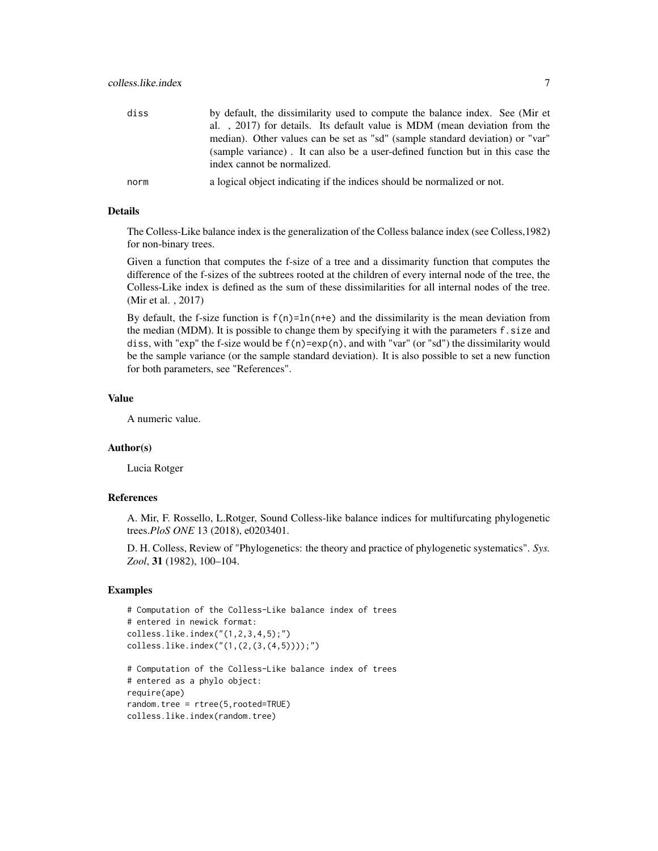| diss | by default, the dissimilarity used to compute the balance index. See (Mir et   |
|------|--------------------------------------------------------------------------------|
|      | al., 2017) for details. Its default value is MDM (mean deviation from the      |
|      | median). Other values can be set as "sd" (sample standard deviation) or "var"  |
|      | (sample variance). It can also be a user-defined function but in this case the |
|      | index cannot be normalized.                                                    |
| norm | a logical object indicating if the indices should be normalized or not.        |

### Details

The Colless-Like balance index is the generalization of the Colless balance index (see Colless,1982) for non-binary trees.

Given a function that computes the f-size of a tree and a dissimarity function that computes the difference of the f-sizes of the subtrees rooted at the children of every internal node of the tree, the Colless-Like index is defined as the sum of these dissimilarities for all internal nodes of the tree. (Mir et al. , 2017)

By default, the f-size function is  $f(n)=ln(n+e)$  and the dissimilarity is the mean deviation from the median (MDM). It is possible to change them by specifying it with the parameters f.size and diss, with "exp" the f-size would be  $f(n)=exp(n)$ , and with "var" (or "sd") the dissimilarity would be the sample variance (or the sample standard deviation). It is also possible to set a new function for both parameters, see "References".

# Value

A numeric value.

# Author(s)

Lucia Rotger

# References

A. Mir, F. Rossello, L.Rotger, Sound Colless-like balance indices for multifurcating phylogenetic trees.*PloS ONE* 13 (2018), e0203401.

D. H. Colless, Review of "Phylogenetics: the theory and practice of phylogenetic systematics". *Sys. Zool*, 31 (1982), 100–104.

```
# Computation of the Colless-Like balance index of trees
# entered in newick format:
colless.like.index("(1,2,3,4,5);")
colless.like.index("(1,(2,(3,(4,5))));")
```

```
# Computation of the Colless-Like balance index of trees
# entered as a phylo object:
require(ape)
random.tree = rtree(5,rooted=TRUE)
colless.like.index(random.tree)
```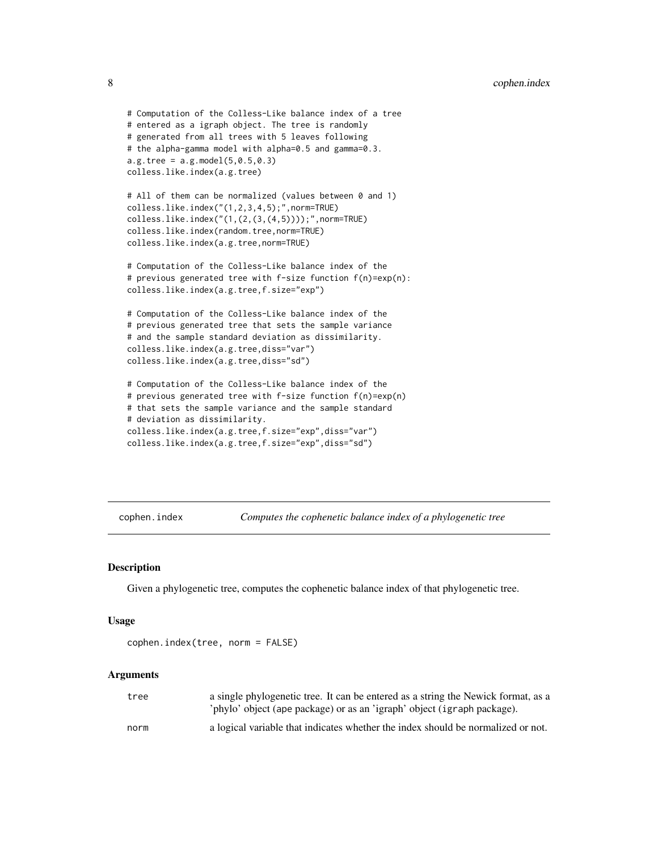```
# Computation of the Colless-Like balance index of a tree
# entered as a igraph object. The tree is randomly
# generated from all trees with 5 leaves following
# the alpha-gamma model with alpha=0.5 and gamma=0.3.
a.g.tree = a.g. model(5, 0.5, 0.3)colless.like.index(a.g.tree)
# All of them can be normalized (values between 0 and 1)
colless.like.index("(1,2,3,4,5);",norm=TRUE)
colless.like.index("(1,(2,(3,(4,5))));",norm=TRUE)
colless.like.index(random.tree,norm=TRUE)
colless.like.index(a.g.tree,norm=TRUE)
# Computation of the Colless-Like balance index of the
# previous generated tree with f-size function f(n)=exp(n):
colless.like.index(a.g.tree,f.size="exp")
# Computation of the Colless-Like balance index of the
# previous generated tree that sets the sample variance
# and the sample standard deviation as dissimilarity.
colless.like.index(a.g.tree,diss="var")
colless.like.index(a.g.tree,diss="sd")
# Computation of the Colless-Like balance index of the
# previous generated tree with f-size function f(n)=exp(n)
# that sets the sample variance and the sample standard
# deviation as dissimilarity.
colless.like.index(a.g.tree,f.size="exp",diss="var")
```

```
colless.like.index(a.g.tree,f.size="exp",diss="sd")
```
cophen.index *Computes the cophenetic balance index of a phylogenetic tree*

### Description

Given a phylogenetic tree, computes the cophenetic balance index of that phylogenetic tree.

### Usage

```
cophen.index(tree, norm = FALSE)
```

| tree | a single phylogenetic tree. It can be entered as a string the Newick format, as a<br>'phylo' object (ape package) or as an 'igraph' object (igraph package). |
|------|--------------------------------------------------------------------------------------------------------------------------------------------------------------|
| norm | a logical variable that indicates whether the index should be normalized or not.                                                                             |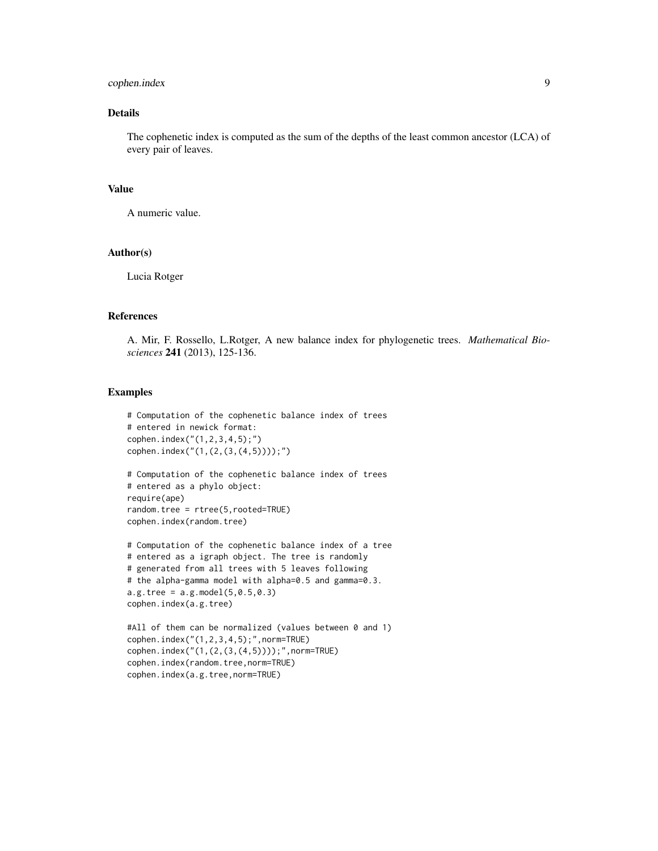# cophen.index 9

# Details

The cophenetic index is computed as the sum of the depths of the least common ancestor (LCA) of every pair of leaves.

# Value

A numeric value.

# Author(s)

Lucia Rotger

# References

A. Mir, F. Rossello, L.Rotger, A new balance index for phylogenetic trees. *Mathematical Biosciences* 241 (2013), 125-136.

```
# Computation of the cophenetic balance index of trees
# entered in newick format:
cophen.index("(1,2,3,4,5);")
cophen.index("(1,(2,(3,(4,5))));")
```

```
# Computation of the cophenetic balance index of trees
# entered as a phylo object:
require(ape)
random.tree = rtree(5,rooted=TRUE)
cophen.index(random.tree)
```

```
# Computation of the cophenetic balance index of a tree
# entered as a igraph object. The tree is randomly
# generated from all trees with 5 leaves following
# the alpha-gamma model with alpha=0.5 and gamma=0.3.
a.g. tree = a.g. model(5, 0.5, 0.3)cophen.index(a.g.tree)
```

```
#All of them can be normalized (values between 0 and 1)
cophen.index("(1,2,3,4,5);",norm=TRUE)
cophen.index("(1,(2,(3,(4,5))));",norm=TRUE)
cophen.index(random.tree,norm=TRUE)
cophen.index(a.g.tree,norm=TRUE)
```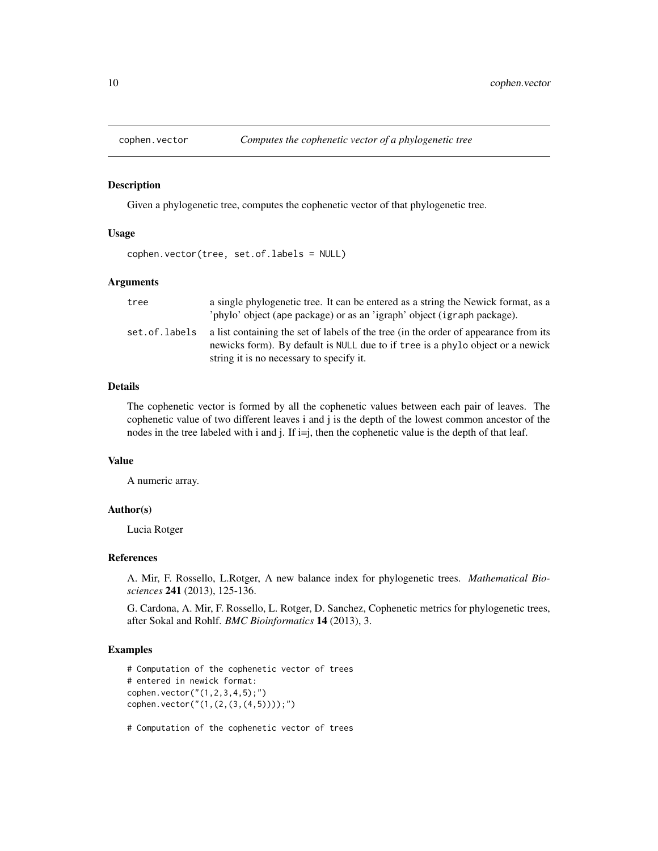<span id="page-9-0"></span>

#### Description

Given a phylogenetic tree, computes the cophenetic vector of that phylogenetic tree.

# Usage

```
cophen.vector(tree, set.of.labels = NULL)
```
# **Arguments**

| tree          | a single phylogenetic tree. It can be entered as a string the Newick format, as a<br>'phylo' object (ape package) or as an 'igraph' object (igraph package).                                                       |
|---------------|--------------------------------------------------------------------------------------------------------------------------------------------------------------------------------------------------------------------|
| set.of.labels | a list containing the set of labels of the tree (in the order of appearance from its<br>newicks form). By default is NULL due to if tree is a phylo object or a newick<br>string it is no necessary to specify it. |

# Details

The cophenetic vector is formed by all the cophenetic values between each pair of leaves. The cophenetic value of two different leaves i and j is the depth of the lowest common ancestor of the nodes in the tree labeled with i and j. If i=j, then the cophenetic value is the depth of that leaf.

# Value

A numeric array.

#### Author(s)

Lucia Rotger

#### References

A. Mir, F. Rossello, L.Rotger, A new balance index for phylogenetic trees. *Mathematical Biosciences* 241 (2013), 125-136.

G. Cardona, A. Mir, F. Rossello, L. Rotger, D. Sanchez, Cophenetic metrics for phylogenetic trees, after Sokal and Rohlf. *BMC Bioinformatics* 14 (2013), 3.

#### Examples

```
# Computation of the cophenetic vector of trees
# entered in newick format:
cophen.vector("(1,2,3,4,5);")
cophen.vector("(1,(2,(3,(4,5))));")
```
# Computation of the cophenetic vector of trees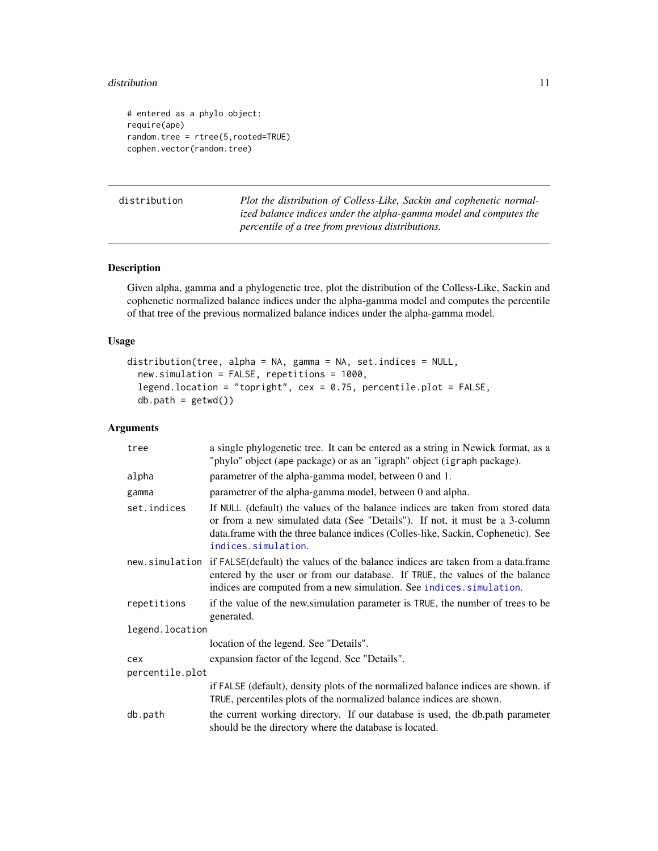#### <span id="page-10-0"></span>distribution and the contract of the contract of the contract of the contract of the contract of the contract of the contract of the contract of the contract of the contract of the contract of the contract of the contract

```
# entered as a phylo object:
require(ape)
random.tree = rtree(5,rooted=TRUE)
cophen.vector(random.tree)
```
distribution *Plot the distribution of Colless-Like, Sackin and cophenetic normalized balance indices under the alpha-gamma model and computes the percentile of a tree from previous distributions.*

# Description

Given alpha, gamma and a phylogenetic tree, plot the distribution of the Colless-Like, Sackin and cophenetic normalized balance indices under the alpha-gamma model and computes the percentile of that tree of the previous normalized balance indices under the alpha-gamma model.

# Usage

```
distribution(tree, alpha = NA, gamma = NA, set.indices = NULL,
 new.simulation = FALSE, repetitions = 1000,
  legend.location = "topright", cex = 0.75, percentile.plot = FALSE,
 db.path = getwd()
```

| tree            | a single phylogenetic tree. It can be entered as a string in Newick format, as a<br>"phylo" object (ape package) or as an "igraph" object (igraph package).                                                                                                              |
|-----------------|--------------------------------------------------------------------------------------------------------------------------------------------------------------------------------------------------------------------------------------------------------------------------|
| alpha           | parametrer of the alpha-gamma model, between 0 and 1.                                                                                                                                                                                                                    |
| gamma           | parametrer of the alpha-gamma model, between 0 and alpha.                                                                                                                                                                                                                |
| set.indices     | If NULL (default) the values of the balance indices are taken from stored data<br>or from a new simulated data (See "Details"). If not, it must be a 3-column<br>data.frame with the three balance indices (Colles-like, Sackin, Cophenetic). See<br>indices.simulation. |
|                 | new simulation if FALSE (default) the values of the balance indices are taken from a data.frame<br>entered by the user or from our database. If TRUE, the values of the balance<br>indices are computed from a new simulation. See indices. simulation.                  |
| repetitions     | if the value of the new simulation parameter is TRUE, the number of trees to be<br>generated.                                                                                                                                                                            |
| legend.location |                                                                                                                                                                                                                                                                          |
|                 | location of the legend. See "Details".                                                                                                                                                                                                                                   |
| cex             | expansion factor of the legend. See "Details".                                                                                                                                                                                                                           |
| percentile.plot |                                                                                                                                                                                                                                                                          |
|                 | if FALSE (default), density plots of the normalized balance indices are shown. if<br>TRUE, percentiles plots of the normalized balance indices are shown.                                                                                                                |
| db.path         | the current working directory. If our database is used, the db.path parameter<br>should be the directory where the database is located.                                                                                                                                  |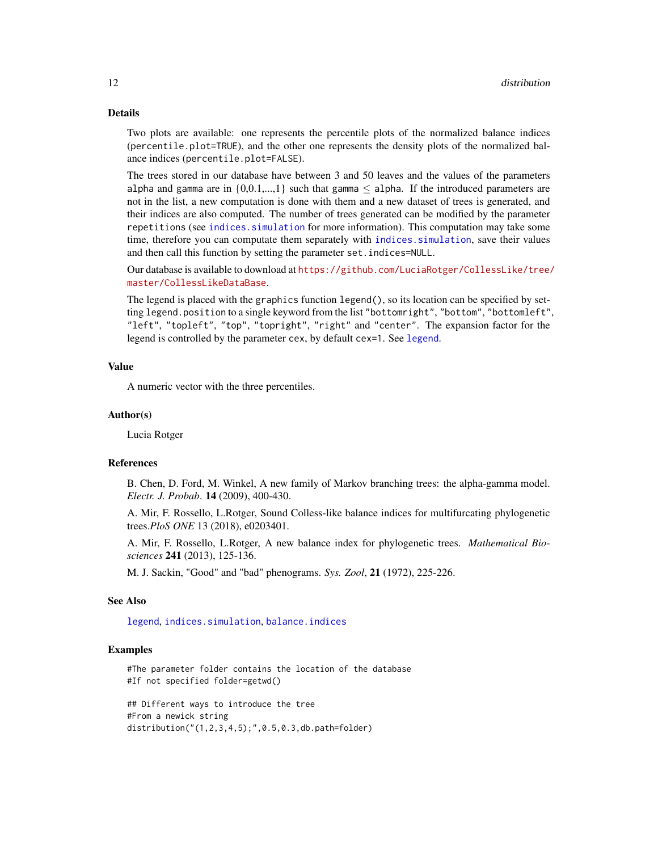# <span id="page-11-0"></span>Details

Two plots are available: one represents the percentile plots of the normalized balance indices (percentile.plot=TRUE), and the other one represents the density plots of the normalized balance indices (percentile.plot=FALSE).

The trees stored in our database have between 3 and 50 leaves and the values of the parameters alpha and gamma are in  $\{0,0,1,...,1\}$  such that gamma  $\leq$  alpha. If the introduced parameters are not in the list, a new computation is done with them and a new dataset of trees is generated, and their indices are also computed. The number of trees generated can be modified by the parameter repetitions (see [indices.simulation](#page-12-1) for more information). This computation may take some time, therefore you can computate them separately with [indices.simulation](#page-12-1), save their values and then call this function by setting the parameter set.indices=NULL.

Our database is available to download at [https://github.com/LuciaRotger/CollessLike/tree/](https://github.com/LuciaRotger/CollessLike/tree/master/CollessLikeDataBase) [master/CollessLikeDataBase](https://github.com/LuciaRotger/CollessLike/tree/master/CollessLikeDataBase).

The legend is placed with the graphics function legend(), so its location can be specified by setting legend.position to a single keyword from the list "bottomright", "bottom", "bottomleft", "left", "topleft", "top", "topright", "right" and "center". The expansion factor for the [legend](#page-0-0) is controlled by the parameter cex, by default cex=1. See legend.

# Value

A numeric vector with the three percentiles.

### Author(s)

Lucia Rotger

### References

B. Chen, D. Ford, M. Winkel, A new family of Markov branching trees: the alpha-gamma model. *Electr. J. Probab*. 14 (2009), 400-430.

A. Mir, F. Rossello, L.Rotger, Sound Colless-like balance indices for multifurcating phylogenetic trees.*PloS ONE* 13 (2018), e0203401.

A. Mir, F. Rossello, L.Rotger, A new balance index for phylogenetic trees. *Mathematical Biosciences* 241 (2013), 125-136.

M. J. Sackin, "Good" and "bad" phenograms. *Sys. Zool*, 21 (1972), 225-226.

# See Also

[legend](#page-0-0), [indices.simulation](#page-12-1), [balance.indices](#page-4-1)

#### Examples

```
#The parameter folder contains the location of the database
#If not specified folder=getwd()
```
## Different ways to introduce the tree #From a newick string distribution("(1,2,3,4,5);",0.5,0.3,db.path=folder)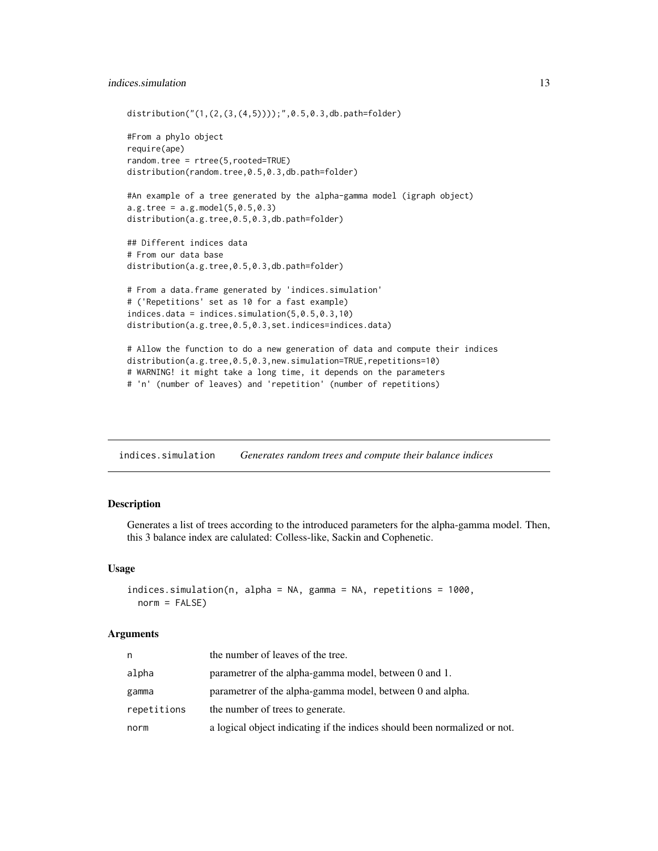# <span id="page-12-0"></span>indices.simulation 13

```
distribution("(1,(2,(3,(4,5))));",0.5,0.3,db.path=folder)
#From a phylo object
require(ape)
random.tree = rtree(5,rooted=TRUE)
distribution(random.tree,0.5,0.3,db.path=folder)
#An example of a tree generated by the alpha-gamma model (igraph object)
a.g.tree = a.g. model(5, 0.5, 0.3)distribution(a.g.tree,0.5,0.3,db.path=folder)
## Different indices data
# From our data base
distribution(a.g.tree,0.5,0.3,db.path=folder)
# From a data.frame generated by 'indices.simulation'
# ('Repetitions' set as 10 for a fast example)
indices.data = indices.simulation(5,0.5,0.3,10)
distribution(a.g.tree,0.5,0.3,set.indices=indices.data)
```

```
# Allow the function to do a new generation of data and compute their indices
distribution(a.g.tree,0.5,0.3,new.simulation=TRUE,repetitions=10)
# WARNING! it might take a long time, it depends on the parameters
# 'n' (number of leaves) and 'repetition' (number of repetitions)
```
<span id="page-12-1"></span>indices.simulation *Generates random trees and compute their balance indices*

# Description

Generates a list of trees according to the introduced parameters for the alpha-gamma model. Then, this 3 balance index are calulated: Colless-like, Sackin and Cophenetic.

### Usage

```
indices.simulation(n, alpha = NA, gamma = NA, repetitions = 1000,
 norm = FALSE)
```

| n           | the number of leaves of the tree.                                         |
|-------------|---------------------------------------------------------------------------|
| alpha       | parametrer of the alpha-gamma model, between 0 and 1.                     |
| gamma       | parametrer of the alpha-gamma model, between 0 and alpha.                 |
| repetitions | the number of trees to generate.                                          |
| norm        | a logical object indicating if the indices should been normalized or not. |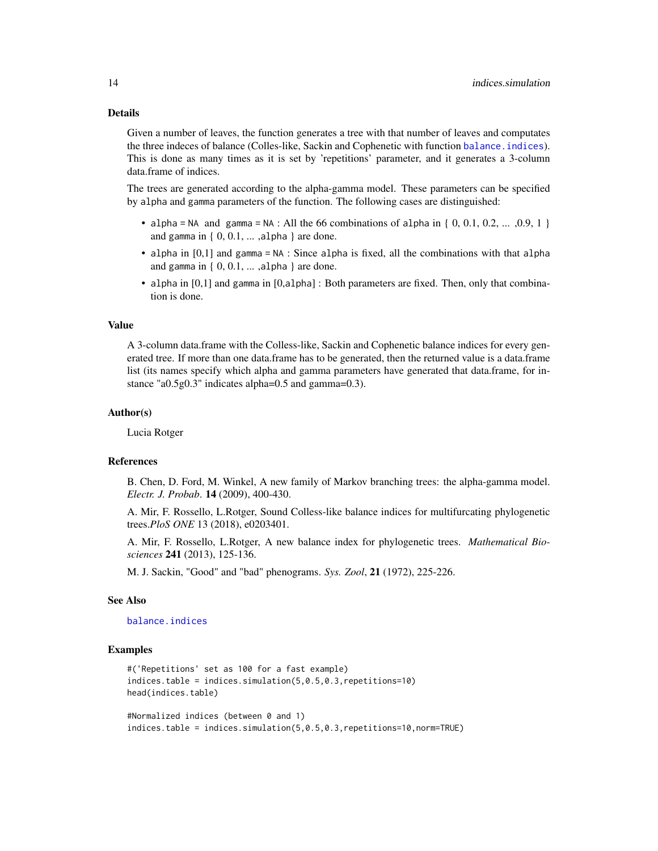#### <span id="page-13-0"></span>Details

Given a number of leaves, the function generates a tree with that number of leaves and computates the three indeces of balance (Colles-like, Sackin and Cophenetic with function [balance.indices](#page-4-1)). This is done as many times as it is set by 'repetitions' parameter, and it generates a 3-column data.frame of indices.

The trees are generated according to the alpha-gamma model. These parameters can be specified by alpha and gamma parameters of the function. The following cases are distinguished:

- alpha = NA and gamma = NA : All the 66 combinations of alpha in {  $0, 0.1, 0.2, ... , 0.9, 1$  } and gamma in { 0, 0.1, ... ,alpha } are done.
- alpha in [0,1] and gamma = NA : Since alpha is fixed, all the combinations with that alpha and gamma in  $\{0, 0.1, \ldots, \text{alpha}\}\$  are done.
- alpha in [0,1] and gamma in [0,alpha] : Both parameters are fixed. Then, only that combination is done.

#### Value

A 3-column data.frame with the Colless-like, Sackin and Cophenetic balance indices for every generated tree. If more than one data.frame has to be generated, then the returned value is a data.frame list (its names specify which alpha and gamma parameters have generated that data.frame, for instance "a0.5g0.3" indicates alpha=0.5 and gamma=0.3).

#### Author(s)

Lucia Rotger

### References

B. Chen, D. Ford, M. Winkel, A new family of Markov branching trees: the alpha-gamma model. *Electr. J. Probab*. 14 (2009), 400-430.

A. Mir, F. Rossello, L.Rotger, Sound Colless-like balance indices for multifurcating phylogenetic trees.*PloS ONE* 13 (2018), e0203401.

A. Mir, F. Rossello, L.Rotger, A new balance index for phylogenetic trees. *Mathematical Biosciences* 241 (2013), 125-136.

M. J. Sackin, "Good" and "bad" phenograms. *Sys. Zool*, 21 (1972), 225-226.

#### See Also

[balance.indices](#page-4-1)

#### Examples

```
#('Repetitions' set as 100 for a fast example)
indices.table = indices.simulation(5,0.5,0.3,repetitions=10)
head(indices.table)
#Normalized indices (between 0 and 1)
```
indices.table = indices.simulation(5,0.5,0.3,repetitions=10,norm=TRUE)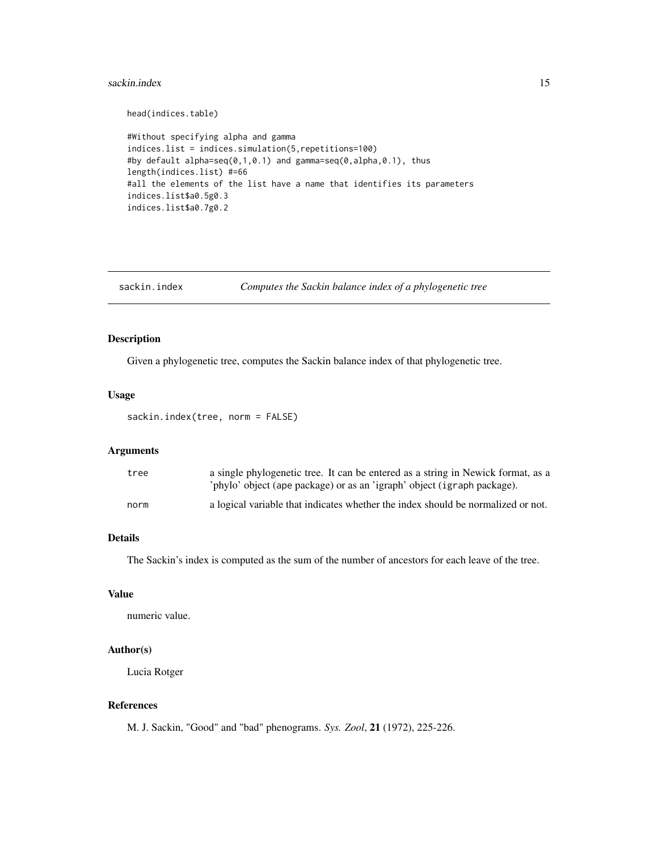#### <span id="page-14-0"></span>sackin.index 15

```
head(indices.table)
```

```
#Without specifying alpha and gamma
indices.list = indices.simulation(5,repetitions=100)
#by default alpha=seq(0,1,0.1) and gamma=seq(0,alpha,0.1), thus
length(indices.list) #=66
#all the elements of the list have a name that identifies its parameters
indices.list$a0.5g0.3
indices.list$a0.7g0.2
```

```
sackin.index Computes the Sackin balance index of a phylogenetic tree
```
# Description

Given a phylogenetic tree, computes the Sackin balance index of that phylogenetic tree.

### Usage

sackin.index(tree, norm = FALSE)

# Arguments

| tree | a single phylogenetic tree. It can be entered as a string in Newick format, as a<br>'phylo' object (ape package) or as an 'igraph' object (igraph package). |
|------|-------------------------------------------------------------------------------------------------------------------------------------------------------------|
| norm | a logical variable that indicates whether the index should be normalized or not.                                                                            |

# Details

The Sackin's index is computed as the sum of the number of ancestors for each leave of the tree.

# Value

numeric value.

# Author(s)

Lucia Rotger

#### References

M. J. Sackin, "Good" and "bad" phenograms. *Sys. Zool*, 21 (1972), 225-226.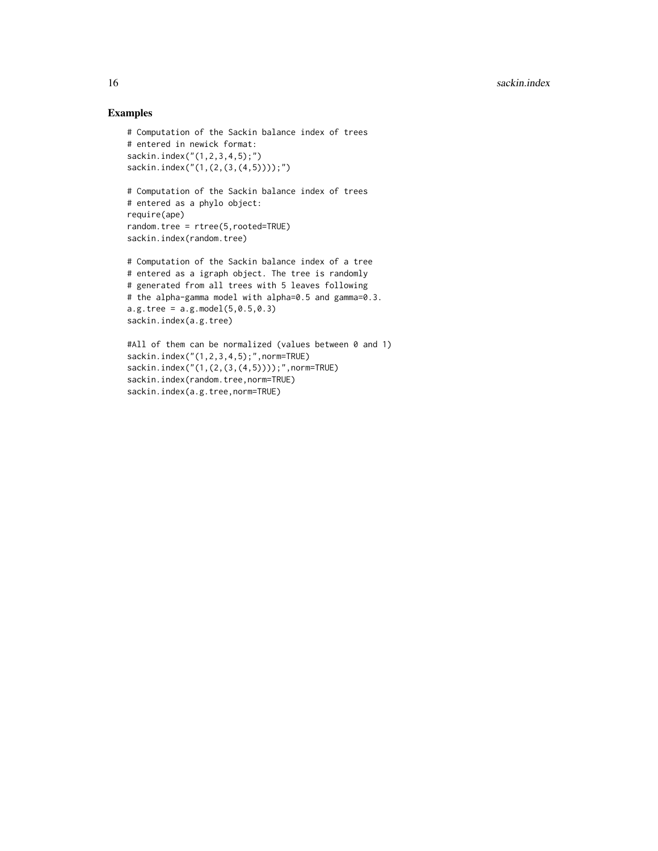```
# Computation of the Sackin balance index of trees
# entered in newick format:
sackin.index("(1,2,3,4,5);")
sackin.index("(1,(2,(3,(4,5))));")
```

```
# Computation of the Sackin balance index of trees
# entered as a phylo object:
require(ape)
random.tree = rtree(5,rooted=TRUE)
sackin.index(random.tree)
```

```
# Computation of the Sackin balance index of a tree
# entered as a igraph object. The tree is randomly
# generated from all trees with 5 leaves following
# the alpha-gamma model with alpha=0.5 and gamma=0.3.
a.g.tree = a.g. model(5, 0.5, 0.3)sackin.index(a.g.tree)
```

```
#All of them can be normalized (values between 0 and 1)
sackin.index("(1,2,3,4,5);",norm=TRUE)
sackin.index("(1,(2,(3,(4,5))));",norm=TRUE)
sackin.index(random.tree,norm=TRUE)
sackin.index(a.g.tree,norm=TRUE)
```